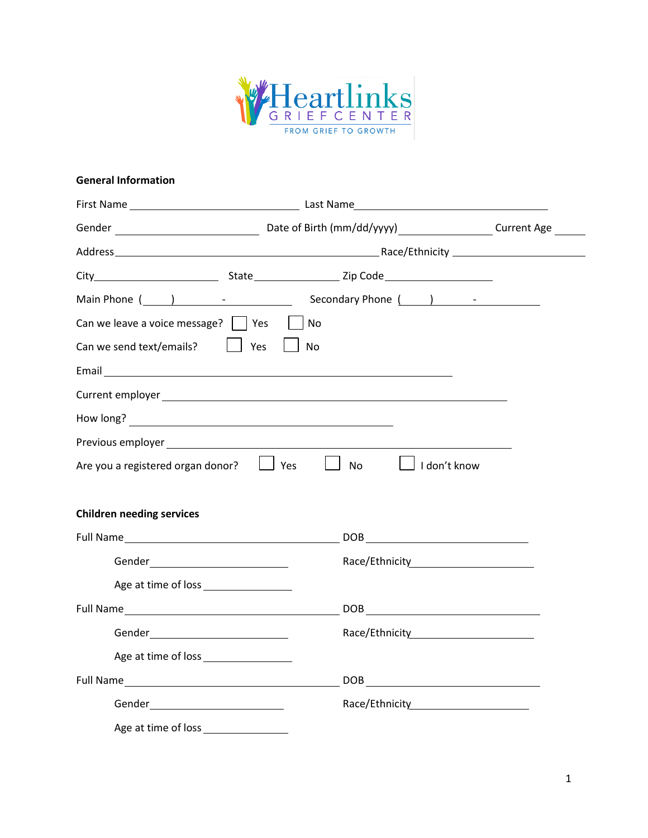

#### **General Information**

| Can we leave a voice message? $\vert \vert$ Yes                                                                                                                                                                                | $\vert$ $\vert$ No  |  |
|--------------------------------------------------------------------------------------------------------------------------------------------------------------------------------------------------------------------------------|---------------------|--|
| Can we send text/emails?<br><b>Note</b> State State State State State State State State State State State State State State State State State State State State State State State State State State State State Street         | $\vert$ No          |  |
|                                                                                                                                                                                                                                |                     |  |
| Current employer and the contract of the contract of the contract of the contract of the contract of the contract of the contract of the contract of the contract of the contract of the contract of the contract of the contr |                     |  |
| How long?                                                                                                                                                                                                                      |                     |  |
|                                                                                                                                                                                                                                |                     |  |
| Are you a registered organ donor? $\Box$ Yes                                                                                                                                                                                   | □ No □ ldon't know  |  |
|                                                                                                                                                                                                                                |                     |  |
| <b>Children needing services</b>                                                                                                                                                                                               |                     |  |
|                                                                                                                                                                                                                                |                     |  |
| Gender______________________________                                                                                                                                                                                           |                     |  |
|                                                                                                                                                                                                                                |                     |  |
|                                                                                                                                                                                                                                |                     |  |
|                                                                                                                                                                                                                                | Race/Ethnicity 2000 |  |
| Age at time of loss __________________                                                                                                                                                                                         |                     |  |
|                                                                                                                                                                                                                                |                     |  |
| Gender and the contract of the contract of the contract of the contract of the contract of the contract of the                                                                                                                 |                     |  |
| Age at time of loss                                                                                                                                                                                                            |                     |  |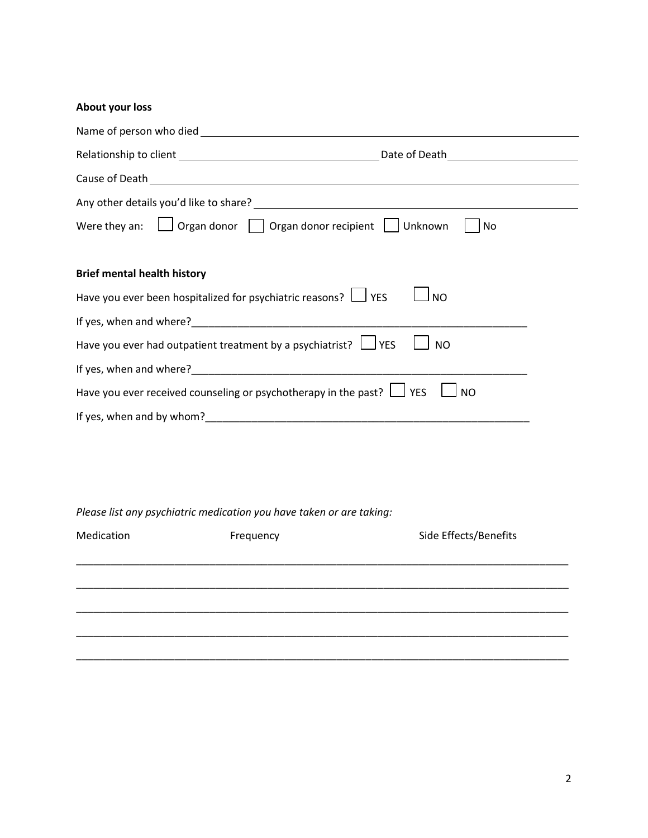# **About your loss**

| Any other details you'd like to share?<br><u> any other details you'd like to share?</u>                                                                                                                                               |  |  |  |  |
|----------------------------------------------------------------------------------------------------------------------------------------------------------------------------------------------------------------------------------------|--|--|--|--|
| Were they an: $\Box$ Organ donor $\Box$ Organ donor recipient $\Box$ Unknown<br>No.                                                                                                                                                    |  |  |  |  |
|                                                                                                                                                                                                                                        |  |  |  |  |
| <b>Brief mental health history</b>                                                                                                                                                                                                     |  |  |  |  |
| Have you ever been hospitalized for psychiatric reasons? $\Box$ YES<br><b>NO</b>                                                                                                                                                       |  |  |  |  |
| If yes, when and where?<br><u> Letting and interest and interest and interest and interest and interest and interest and interest and interest and interest and interest and interest and interest and interest and interest and i</u> |  |  |  |  |
| Have you ever had outpatient treatment by a psychiatrist? $\Box$ YES<br><b>NO</b>                                                                                                                                                      |  |  |  |  |
|                                                                                                                                                                                                                                        |  |  |  |  |
| Have you ever received counseling or psychotherapy in the past? $\Box$ YES<br><b>NO</b>                                                                                                                                                |  |  |  |  |
|                                                                                                                                                                                                                                        |  |  |  |  |

*Please list any psychiatric medication you have taken or are taking:*

| Frequency | Side Effects/Benefits |
|-----------|-----------------------|
|           |                       |
|           |                       |
|           |                       |
|           |                       |
|           |                       |